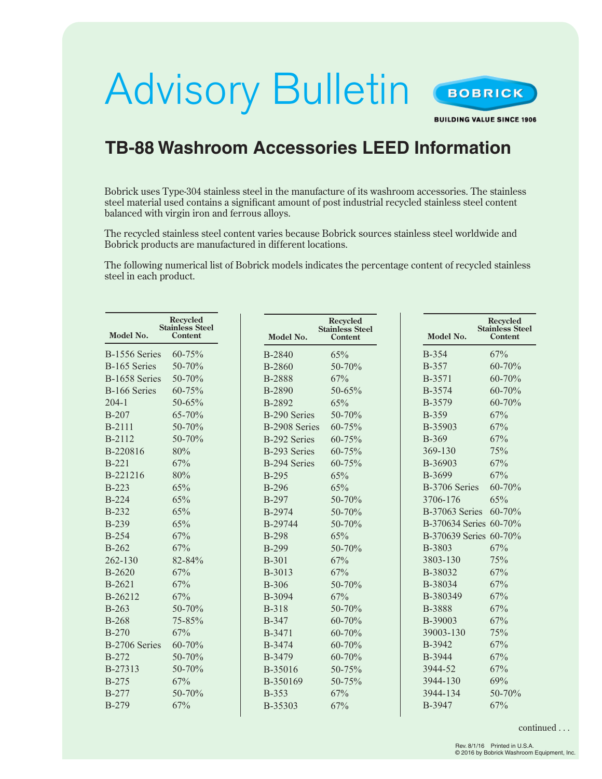## Advisory Bulletin



**BUILDING VALUE SINCE 1906** 

## **TB-88 Washroom Accessories LEED Information**

Bobrick uses Type-304 stainless steel in the manufacture of its washroom accessories. The stainless steel material used contains a significant amount of post industrial recycled stainless steel content balanced with virgin iron and ferrous alloys.

The recycled stainless steel content varies because Bobrick sources stainless steel worldwide and Bobrick products are manufactured in different locations.

The following numerical list of Bobrick models indicates the percentage content of recycled stainless steel in each product.

| Model No.     | <b>Recycled</b><br><b>Stainless Steel</b><br>Content | Model No.           | <b>Recycled</b><br><b>Stainless Steel</b><br><b>Content</b> | Model No.              | <b>Recycled</b><br><b>Stainless Steel</b><br><b>Content</b> |
|---------------|------------------------------------------------------|---------------------|-------------------------------------------------------------|------------------------|-------------------------------------------------------------|
| B-1556 Series | 60-75%                                               | B-2840              | 65%                                                         | <b>B-354</b>           | 67%                                                         |
| B-165 Series  | $50 - 70%$                                           | B-2860              | 50-70%                                                      | <b>B-357</b>           | $60 - 70%$                                                  |
| B-1658 Series | 50-70%                                               | <b>B-2888</b>       | 67%                                                         | B-3571                 | 60-70%                                                      |
| B-166 Series  | 60-75%                                               | B-2890              | 50-65%                                                      | B-3574                 | 60-70%                                                      |
| $204-1$       | 50-65%                                               | B-2892              | 65%                                                         | B-3579                 | $60 - 70%$                                                  |
| <b>B-207</b>  | 65-70%                                               | <b>B-290 Series</b> | 50-70%                                                      | <b>B-359</b>           | 67%                                                         |
| <b>B-2111</b> | 50-70%                                               | B-2908 Series       | 60-75%                                                      | B-35903                | 67%                                                         |
| B-2112        | $50 - 70%$                                           | <b>B-292 Series</b> | $60 - 75%$                                                  | <b>B-369</b>           | 67%                                                         |
| B-220816      | 80%                                                  | B-293 Series        | 60-75%                                                      | 369-130                | 75%                                                         |
| $B-221$       | 67%                                                  | <b>B-294 Series</b> | 60-75%                                                      | B-36903                | 67%                                                         |
| B-221216      | 80%                                                  | <b>B-295</b>        | 65%                                                         | B-3699                 | 67%                                                         |
| $B-223$       | 65%                                                  | <b>B-296</b>        | 65%                                                         | B-3706 Series          | 60-70%                                                      |
| <b>B-224</b>  | 65%                                                  | <b>B-297</b>        | 50-70%                                                      | 3706-176               | 65%                                                         |
| <b>B-232</b>  | 65%                                                  | B-2974              | 50-70%                                                      | B-37063 Series         | 60-70%                                                      |
| <b>B-239</b>  | 65%                                                  | B-29744             | 50-70%                                                      | B-370634 Series 60-70% |                                                             |
| <b>B-254</b>  | 67%                                                  | <b>B-298</b>        | 65%                                                         | B-370639 Series 60-70% |                                                             |
| $B-262$       | 67%                                                  | <b>B-299</b>        | 50-70%                                                      | B-3803                 | 67%                                                         |
| 262-130       | 82-84%                                               | <b>B-301</b>        | 67%                                                         | 3803-130               | 75%                                                         |
| $B-2620$      | 67%                                                  | B-3013              | 67%                                                         | B-38032                | 67%                                                         |
| B-2621        | 67%                                                  | <b>B-306</b>        | 50-70%                                                      | B-38034                | 67%                                                         |
| B-26212       | 67%                                                  | B-3094              | 67%                                                         | B-380349               | 67%                                                         |
| $B-263$       | 50-70%                                               | <b>B-318</b>        | 50-70%                                                      | B-3888                 | 67%                                                         |
| <b>B-268</b>  | 75-85%                                               | <b>B-347</b>        | 60-70%                                                      | B-39003                | 67%                                                         |
| <b>B-270</b>  | 67%                                                  | B-3471              | 60-70%                                                      | 39003-130              | 75%                                                         |
| B-2706 Series | $60 - 70%$                                           | B-3474              | 60-70%                                                      | B-3942                 | 67%                                                         |
| $B-272$       | 50-70%                                               | B-3479              | 60-70%                                                      | B-3944                 | 67%                                                         |
| B-27313       | 50-70%                                               | B-35016             | 50-75%                                                      | 3944-52                | 67%                                                         |
| $B-275$       | 67%                                                  | B-350169            | 50-75%                                                      | 3944-130               | 69%                                                         |
| <b>B-277</b>  | 50-70%                                               | <b>B-353</b>        | 67%                                                         | 3944-134               | 50-70%                                                      |
| <b>B-279</b>  | 67%                                                  | B-35303             | 67%                                                         | B-3947                 | 67%                                                         |

continued . . .